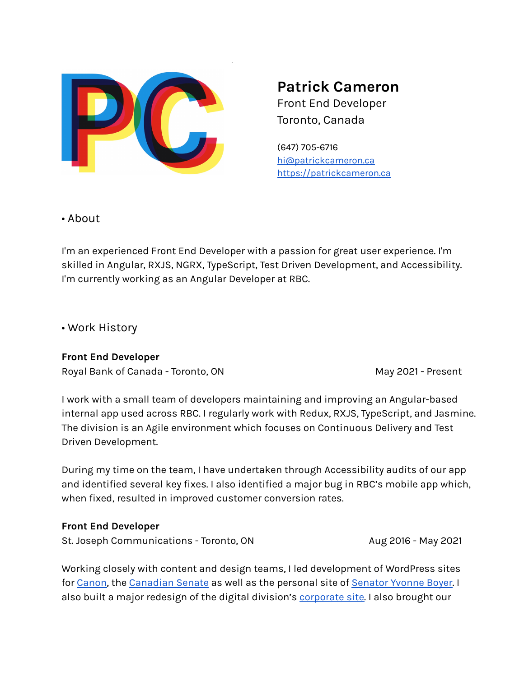

**Patrick Cameron** Front End Developer Toronto, Canada

(647) 705-6716 [hi@patrickcameron.ca](mailto:hi@patrickcameron.ca) <https://patrickcameron.ca>

• About

I'm an experienced Front End Developer with a passion for great user experience. I'm skilled in Angular, RXJS, NGRX, TypeScript, Test Driven Development, and Accessibility. I'm currently working as an Angular Developer at RBC.

• Work History

**Front End Developer** Royal Bank of Canada - Toronto, ON May 2021 - Present

I work with a small team of developers maintaining and improving an Angular-based internal app used across RBC. I regularly work with Redux, RXJS, TypeScript, and Jasmine. The division is an Agile environment which focuses on Continuous Delivery and Test Driven Development.

During my time on the team, I have undertaken through Accessibility audits of our app and identified several key fixes. I also identified a major bug in RBC's mobile app which, when fixed, resulted in improved customer conversion rates.

## **Front End Developer**

St. Joseph Communications - Toronto, ON Aug 2016 - May 2021

Working closely with content and design teams, I led development of WordPress sites for [Canon,](https://cinemaeos.canon.ca/) the [Canadian](https://senate-gro.ca/) Senate as well as the personal site of [Senator](https://senatorboyer.ca/) Yvonne Boyer. I also built a major redesign of the digital division's [corporate](https://contentlabs.ca/) site. I also brought our